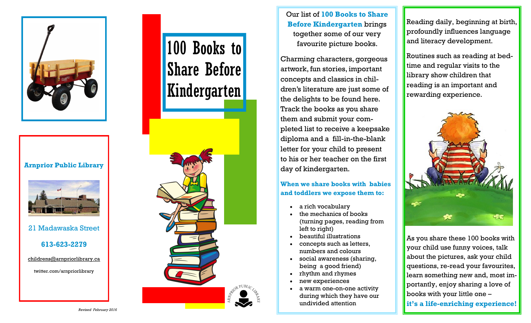

## **Arnprior Public Library**



21 Madawaska Street

## **613-623-2279**

childrens@arnpriorlibrary.ca

twitter.com/arnpriorlibrary

# 100 Books to Share Before Kindergarten



Our list of **100 Books to Share Before Kindergarten** brings together some of our very favourite picture books.

Charming characters, gorgeous artwork, fun stories, important concepts and classics in children's literature are just some of the delights to be found here. Track the books as you share them and submit your completed list to receive a keepsake diploma and a fill-in-the-blank letter for your child to present to his or her teacher on the first day of kindergarten.

## **When we share books with babies and toddlers we expose them to:**

- a rich vocabulary
- the mechanics of books (turning pages, reading from left to right)
- beautiful illustrations
- concepts such as letters, numbers and colours
- social awareness (sharing, being a good friend)
- rhythm and rhymes
- new experiences
- a warm one-on-one activity during which they have our undivided attention

Reading daily, beginning at birth, profoundly influences language and literacy development.

Routines such as reading at bedtime and regular visits to the library show children that reading is an important and rewarding experience.



As you share these 100 books with your child use funny voices, talk about the pictures, ask your child questions, re-read your favourites, learn something new and, most importantly, enjoy sharing a love of books with your little one –

**it's a life-enriching experience!**